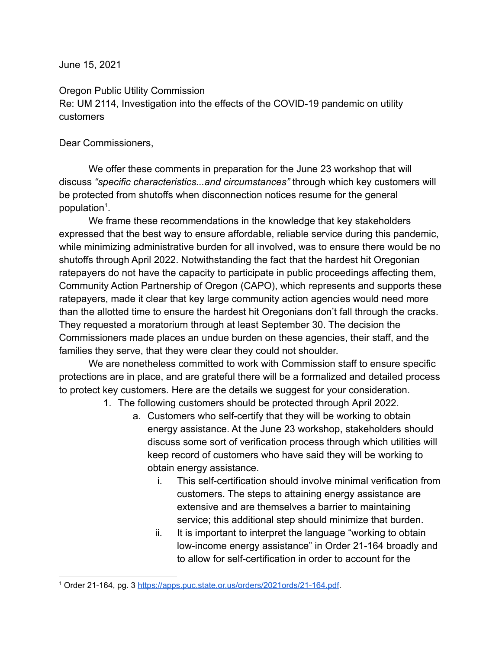June 15, 2021

Oregon Public Utility Commission Re: UM 2114, Investigation into the effects of the COVID-19 pandemic on utility customers

## Dear Commissioners,

We offer these comments in preparation for the June 23 workshop that will discuss *"specific characteristics...and circumstances"* through which key customers will be protected from shutoffs when disconnection notices resume for the general population<sup>1</sup>.

We frame these recommendations in the knowledge that key stakeholders expressed that the best way to ensure affordable, reliable service during this pandemic, while minimizing administrative burden for all involved, was to ensure there would be no shutoffs through April 2022. Notwithstanding the fact that the hardest hit Oregonian ratepayers do not have the capacity to participate in public proceedings affecting them, Community Action Partnership of Oregon (CAPO), which represents and supports these ratepayers, made it clear that key large community action agencies would need more than the allotted time to ensure the hardest hit Oregonians don't fall through the cracks. They requested a moratorium through at least September 30. The decision the Commissioners made places an undue burden on these agencies, their staff, and the families they serve, that they were clear they could not shoulder.

We are nonetheless committed to work with Commission staff to ensure specific protections are in place, and are grateful there will be a formalized and detailed process to protect key customers. Here are the details we suggest for your consideration.

- 1. The following customers should be protected through April 2022.
	- a. Customers who self-certify that they will be working to obtain energy assistance. At the June 23 workshop, stakeholders should discuss some sort of verification process through which utilities will keep record of customers who have said they will be working to obtain energy assistance.
		- i. This self-certification should involve minimal verification from customers. The steps to attaining energy assistance are extensive and are themselves a barrier to maintaining service; this additional step should minimize that burden.
		- ii. It is important to interpret the language "working to obtain low-income energy assistance" in Order 21-164 broadly and to allow for self-certification in order to account for the

<sup>&</sup>lt;sup>1</sup> Order 21-164, pg. 3 [https://apps.puc.state.or.us/orders/2021ords/21-164.pdf.](https://apps.puc.state.or.us/orders/2021ords/21-164.pdf)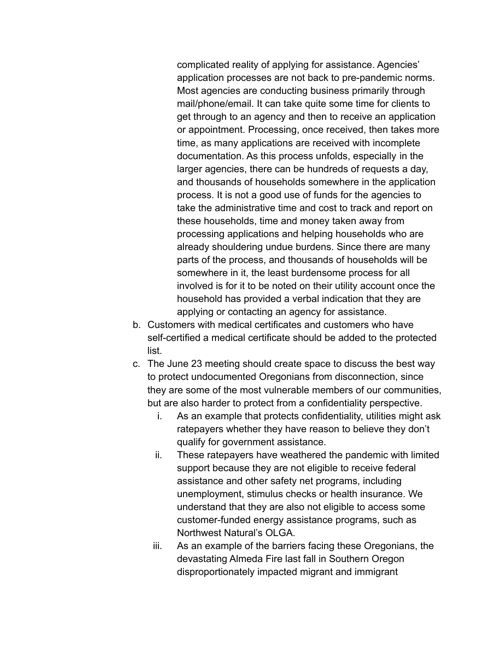complicated reality of applying for assistance. Agencies' application processes are not back to pre-pandemic norms. Most agencies are conducting business primarily through mail/phone/email. It can take quite some time for clients to get through to an agency and then to receive an application or appointment. Processing, once received, then takes more time, as many applications are received with incomplete documentation. As this process unfolds, especially in the larger agencies, there can be hundreds of requests a day, and thousands of households somewhere in the application process. It is not a good use of funds for the agencies to take the administrative time and cost to track and report on these households, time and money taken away from processing applications and helping households who are already shouldering undue burdens. Since there are many parts of the process, and thousands of households will be somewhere in it, the least burdensome process for all involved is for it to be noted on their utility account once the household has provided a verbal indication that they are applying or contacting an agency for assistance.

- b. Customers with medical certificates and customers who have self-certified a medical certificate should be added to the protected list.
- c. The June 23 meeting should create space to discuss the best way to protect undocumented Oregonians from disconnection, since they are some of the most vulnerable members of our communities, but are also harder to protect from a confidentiality perspective.
	- i. As an example that protects confidentiality, utilities might ask ratepayers whether they have reason to believe they don't qualify for government assistance.
	- ii. These ratepayers have weathered the pandemic with limited support because they are not eligible to receive federal assistance and other safety net programs, including unemployment, stimulus checks or health insurance. We understand that they are also not eligible to access some customer-funded energy assistance programs, such as Northwest Natural's OLGA.
	- iii. As an example of the barriers facing these Oregonians, the devastating Almeda Fire last fall in Southern Oregon disproportionately impacted migrant and immigrant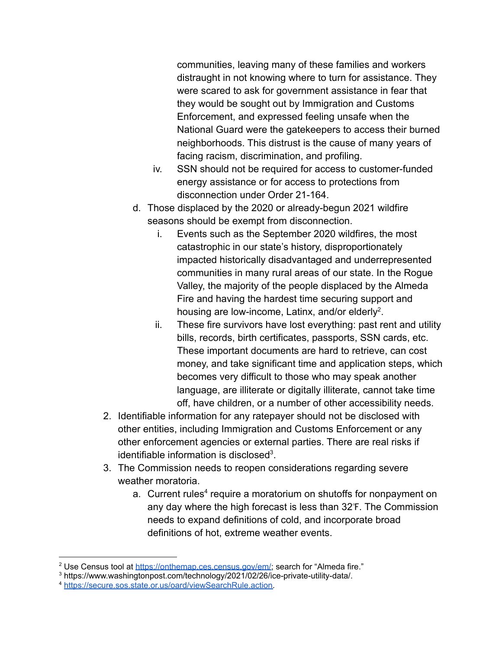communities, leaving many of these families and workers distraught in not knowing where to turn for assistance. They were scared to ask for government assistance in fear that they would be sought out by Immigration and Customs Enforcement, and expressed feeling unsafe when the National Guard were the gatekeepers to access their burned neighborhoods. This distrust is the cause of many years of facing racism, discrimination, and profiling.

- iv. SSN should not be required for access to customer-funded energy assistance or for access to protections from disconnection under Order 21-164.
- d. Those displaced by the 2020 or already-begun 2021 wildfire seasons should be exempt from disconnection.
	- i. Events such as the September 2020 wildfires, the most catastrophic in our state's history, disproportionately impacted historically disadvantaged and underrepresented communities in many rural areas of our state. In the Rogue Valley, the majority of the people displaced by the Almeda Fire and having the hardest time securing support and housing are low-income, Latinx, and/or elderly<sup>2</sup>.
	- ii. These fire survivors have lost everything: past rent and utility bills, records, birth certificates, passports, SSN cards, etc. These important documents are hard to retrieve, can cost money, and take significant time and application steps, which becomes very difficult to those who may speak another language, are illiterate or digitally illiterate, cannot take time off, have children, or a number of other accessibility needs.
- 2. Identifiable information for any ratepayer should not be disclosed with other entities, including Immigration and Customs Enforcement or any other enforcement agencies or external parties. There are real risks if identifiable information is disclosed<sup>3</sup>.
- 3. The Commission needs to reopen considerations regarding severe weather moratoria.
	- a. Current rules<sup>4</sup> require a moratorium on shutoffs for nonpayment on any day where the high forecast is less than 32℉. The Commission needs to expand definitions of cold, and incorporate broad definitions of hot, extreme weather events.

<sup>&</sup>lt;sup>2</sup> Use Census tool at [https://onthemap.ces.census.gov/em/;](https://onthemap.ces.census.gov/em/) search for "Almeda fire."

<sup>3</sup> https://www.washingtonpost.com/technology/2021/02/26/ice-private-utility-data/.

<sup>4</sup> [https://secure.sos.state.or.us/oard/viewSearchRule.action.](https://secure.sos.state.or.us/oard/viewSearchRule.action)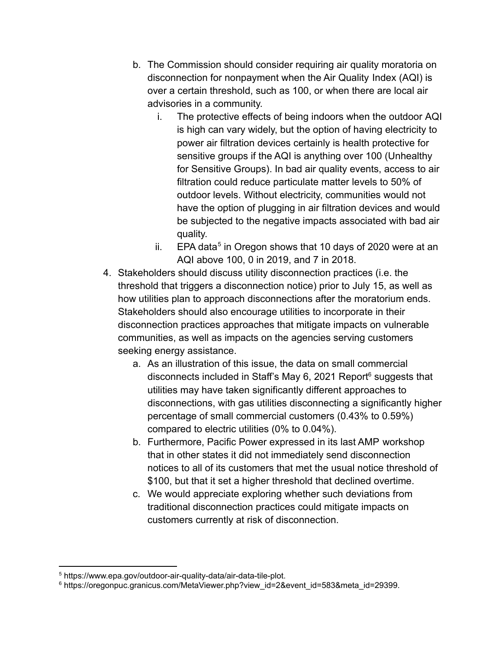- b. The Commission should consider requiring air quality moratoria on disconnection for nonpayment when the Air Quality Index (AQI) is over a certain threshold, such as 100, or when there are local air advisories in a community.
	- i. The protective effects of being indoors when the outdoor AQI is high can vary widely, but the option of having electricity to power air filtration devices certainly is health protective for sensitive groups if the AQI is anything over 100 (Unhealthy for Sensitive Groups). In bad air quality events, access to air filtration could reduce particulate matter levels to 50% of outdoor levels. Without electricity, communities would not have the option of plugging in air filtration devices and would be subjected to the negative impacts associated with bad air quality.
	- ii. EPA data<sup>5</sup> in Oregon shows that 10 days of 2020 were at an AQI above 100, 0 in 2019, and 7 in 2018.
- 4. Stakeholders should discuss utility disconnection practices (i.e. the threshold that triggers a disconnection notice) prior to July 15, as well as how utilities plan to approach disconnections after the moratorium ends. Stakeholders should also encourage utilities to incorporate in their disconnection practices approaches that mitigate impacts on vulnerable communities, as well as impacts on the agencies serving customers seeking energy assistance.
	- a. As an illustration of this issue, the data on small commercial disconnects included in Staff's May 6, 2021 Report<sup>6</sup> suggests that utilities may have taken significantly different approaches to disconnections, with gas utilities disconnecting a significantly higher percentage of small commercial customers (0.43% to 0.59%) compared to electric utilities (0% to 0.04%).
	- b. Furthermore, Pacific Power expressed in its last AMP workshop that in other states it did not immediately send disconnection notices to all of its customers that met the usual notice threshold of \$100, but that it set a higher threshold that declined overtime.
	- c. We would appreciate exploring whether such deviations from traditional disconnection practices could mitigate impacts on customers currently at risk of disconnection.

<sup>5</sup> https://www.epa.gov/outdoor-air-quality-data/air-data-tile-plot.

<sup>6</sup> https://oregonpuc.granicus.com/MetaViewer.php?view\_id=2&event\_id=583&meta\_id=29399.